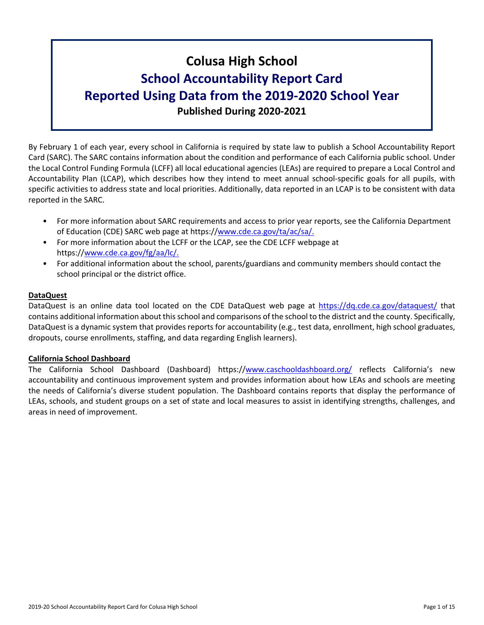# **Colusa High School School Accountability Report Card Reported Using Data from the 2019-2020 School Year Published During 2020-2021**

By February 1 of each year, every school in California is required by state law to publish a School Accountability Report Card (SARC). The SARC contains information about the condition and performance of each California public school. Under the Local Control Funding Formula (LCFF) all local educational agencies (LEAs) are required to prepare a Local Control and Accountability Plan (LCAP), which describes how they intend to meet annual school-specific goals for all pupils, with specific activities to address state and local priorities. Additionally, data reported in an LCAP is to be consistent with data reported in the SARC.

- For more information about SARC requirements and access to prior year reports, see the California Department of Education (CDE) SARC web page at https://[www.cde.ca.gov/ta/ac/sa/.](https://www.cde.ca.gov/ta/ac/sa/)
- For more information about the LCFF or the LCAP, see the CDE LCFF webpage at https://[www.cde.ca.gov/fg/aa/lc/.](https://www.cde.ca.gov/fg/aa/lc/)
- For additional information about the school, parents/guardians and community members should contact the school principal or the district office.

### **DataQuest**

DataQuest is an online data tool located on the CDE DataQuest web page at <https://dq.cde.ca.gov/dataquest/> that contains additional information about thisschool and comparisons of the school to the district and the county. Specifically, DataQuest is a dynamic system that provides reports for accountability (e.g., test data, enrollment, high school graduates, dropouts, course enrollments, staffing, and data regarding English learners).

### **California School Dashboard**

The California School Dashboard (Dashboard) https://[www.caschooldashboard.org/](https://www.caschooldashboard.org/) reflects California's new accountability and continuous improvement system and provides information about how LEAs and schools are meeting the needs of California's diverse student population. The Dashboard contains reports that display the performance of LEAs, schools, and student groups on a set of state and local measures to assist in identifying strengths, challenges, and areas in need of improvement.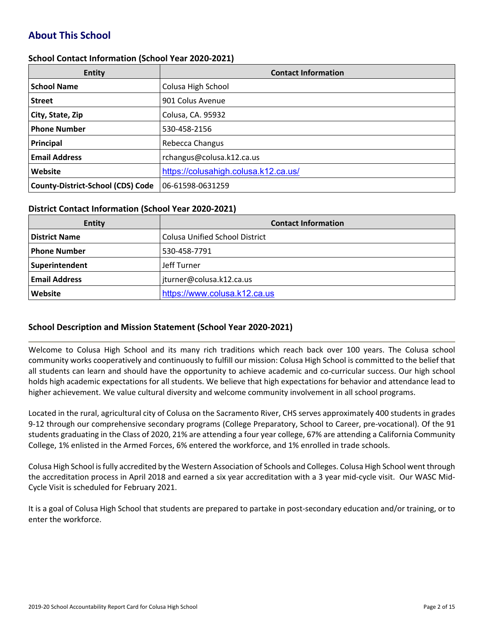# **About This School**

### **School Contact Information (School Year 2020-2021)**

| <b>Entity</b>                            | <b>Contact Information</b>           |  |  |  |
|------------------------------------------|--------------------------------------|--|--|--|
| <b>School Name</b>                       | Colusa High School                   |  |  |  |
| <b>Street</b>                            | 901 Colus Avenue                     |  |  |  |
| City, State, Zip                         | Colusa, CA. 95932                    |  |  |  |
| <b>Phone Number</b>                      | 530-458-2156                         |  |  |  |
| Principal                                | Rebecca Changus                      |  |  |  |
| <b>Email Address</b>                     | rchangus@colusa.k12.ca.us            |  |  |  |
| Website                                  | https://colusahigh.colusa.k12.ca.us/ |  |  |  |
| <b>County-District-School (CDS) Code</b> | 06-61598-0631259                     |  |  |  |

### **District Contact Information (School Year 2020-2021)**

| Entity               | <b>Contact Information</b>            |  |  |  |
|----------------------|---------------------------------------|--|--|--|
| <b>District Name</b> | <b>Colusa Unified School District</b> |  |  |  |
| <b>Phone Number</b>  | 530-458-7791                          |  |  |  |
| Superintendent       | Jeff Turner                           |  |  |  |
| <b>Email Address</b> | jturner@colusa.k12.ca.us              |  |  |  |
| Website              | https://www.colusa.k12.ca.us          |  |  |  |

### **School Description and Mission Statement (School Year 2020-2021)**

Welcome to Colusa High School and its many rich traditions which reach back over 100 years. The Colusa school community works cooperatively and continuously to fulfill our mission: Colusa High School is committed to the belief that all students can learn and should have the opportunity to achieve academic and co-curricular success. Our high school holds high academic expectations for all students. We believe that high expectations for behavior and attendance lead to higher achievement. We value cultural diversity and welcome community involvement in all school programs.

Located in the rural, agricultural city of Colusa on the Sacramento River, CHS serves approximately 400 students in grades 9-12 through our comprehensive secondary programs (College Preparatory, School to Career, pre-vocational). Of the 91 students graduating in the Class of 2020, 21% are attending a four year college, 67% are attending a California Community College, 1% enlisted in the Armed Forces, 6% entered the workforce, and 1% enrolled in trade schools.

Colusa High School isfully accredited by the Western Association of Schools and Colleges. Colusa High School went through the accreditation process in April 2018 and earned a six year accreditation with a 3 year mid-cycle visit. Our WASC Mid-Cycle Visit is scheduled for February 2021.

It is a goal of Colusa High School that students are prepared to partake in post-secondary education and/or training, or to enter the workforce.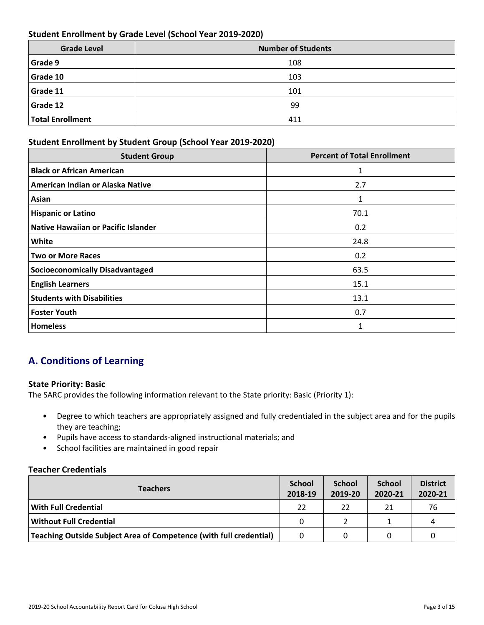### **Student Enrollment by Grade Level (School Year 2019-2020)**

| <b>Grade Level</b>      | <b>Number of Students</b> |  |  |  |
|-------------------------|---------------------------|--|--|--|
| Grade 9                 | 108                       |  |  |  |
| Grade 10                | 103                       |  |  |  |
| Grade 11                | 101                       |  |  |  |
| Grade 12                | 99                        |  |  |  |
| <b>Total Enrollment</b> | 411                       |  |  |  |

### **Student Enrollment by Student Group (School Year 2019-2020)**

| <b>Student Group</b>                   | <b>Percent of Total Enrollment</b> |
|----------------------------------------|------------------------------------|
| <b>Black or African American</b>       | 1                                  |
| American Indian or Alaska Native       | 2.7                                |
| Asian                                  | 1                                  |
| <b>Hispanic or Latino</b>              | 70.1                               |
| Native Hawaiian or Pacific Islander    | 0.2                                |
| White                                  | 24.8                               |
| <b>Two or More Races</b>               | 0.2                                |
| <b>Socioeconomically Disadvantaged</b> | 63.5                               |
| <b>English Learners</b>                | 15.1                               |
| <b>Students with Disabilities</b>      | 13.1                               |
| <b>Foster Youth</b>                    | 0.7                                |
| <b>Homeless</b>                        |                                    |

# **A. Conditions of Learning**

### **State Priority: Basic**

The SARC provides the following information relevant to the State priority: Basic (Priority 1):

- Degree to which teachers are appropriately assigned and fully credentialed in the subject area and for the pupils they are teaching;
- Pupils have access to standards-aligned instructional materials; and
- School facilities are maintained in good repair

### **Teacher Credentials**

| <b>Teachers</b>                                                    |    | <b>School</b><br>2019-20 | <b>School</b><br>2020-21 | <b>District</b><br>2020-21 |
|--------------------------------------------------------------------|----|--------------------------|--------------------------|----------------------------|
| With Full Credential                                               | 22 | 22                       | 21                       | 76                         |
| Without Full Credential                                            | 0  |                          |                          | 4                          |
| Teaching Outside Subject Area of Competence (with full credential) | 0  |                          |                          |                            |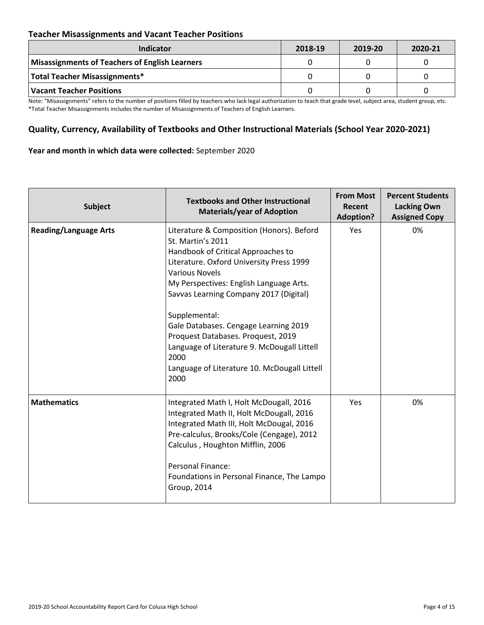### **Teacher Misassignments and Vacant Teacher Positions**

| <b>Indicator</b>                               | 2018-19 | 2019-20 | 2020-21 |
|------------------------------------------------|---------|---------|---------|
| Misassignments of Teachers of English Learners |         |         |         |
| Total Teacher Misassignments*                  |         |         |         |
| Vacant Teacher Positions                       |         |         |         |

Note: "Misassignments" refers to the number of positions filled by teachers who lack legal authorization to teach that grade level, subject area, student group, etc. \*Total Teacher Misassignments includes the number of Misassignments of Teachers of English Learners.

### **Quality, Currency, Availability of Textbooks and Other Instructional Materials (School Year 2020-2021)**

#### **Year and month in which data were collected:** September 2020

| <b>Subject</b>               | <b>Textbooks and Other Instructional</b><br><b>Materials/year of Adoption</b>                                                                                                                                                                                                                                                                                                                                                                                                 | <b>From Most</b><br>Recent<br><b>Adoption?</b> | <b>Percent Students</b><br><b>Lacking Own</b><br><b>Assigned Copy</b> |
|------------------------------|-------------------------------------------------------------------------------------------------------------------------------------------------------------------------------------------------------------------------------------------------------------------------------------------------------------------------------------------------------------------------------------------------------------------------------------------------------------------------------|------------------------------------------------|-----------------------------------------------------------------------|
| <b>Reading/Language Arts</b> | Literature & Composition (Honors). Beford<br>St. Martin's 2011<br>Handbook of Critical Approaches to<br>Literature. Oxford University Press 1999<br><b>Various Novels</b><br>My Perspectives: English Language Arts.<br>Savvas Learning Company 2017 (Digital)<br>Supplemental:<br>Gale Databases. Cengage Learning 2019<br>Proquest Databases. Proquest, 2019<br>Language of Literature 9. McDougall Littell<br>2000<br>Language of Literature 10. McDougall Littell<br>2000 | Yes                                            | 0%                                                                    |
| <b>Mathematics</b>           | Integrated Math I, Holt McDougall, 2016<br>Integrated Math II, Holt McDougall, 2016<br>Integrated Math III, Holt McDougal, 2016<br>Pre-calculus, Brooks/Cole (Cengage), 2012<br>Calculus, Houghton Mifflin, 2006<br><b>Personal Finance:</b><br>Foundations in Personal Finance, The Lampo<br><b>Group, 2014</b>                                                                                                                                                              | Yes                                            | 0%                                                                    |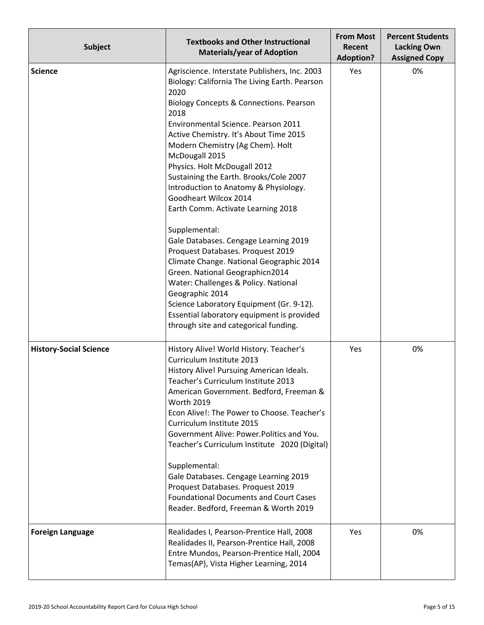| <b>Subject</b>                | <b>Textbooks and Other Instructional</b><br><b>Materials/year of Adoption</b>                                                                                                                                                                                                                                                                                                                                                                                                                                                                                                                                                                                                                                                                                                                                                                                  | <b>From Most</b><br>Recent<br><b>Adoption?</b> | <b>Percent Students</b><br><b>Lacking Own</b><br><b>Assigned Copy</b> |
|-------------------------------|----------------------------------------------------------------------------------------------------------------------------------------------------------------------------------------------------------------------------------------------------------------------------------------------------------------------------------------------------------------------------------------------------------------------------------------------------------------------------------------------------------------------------------------------------------------------------------------------------------------------------------------------------------------------------------------------------------------------------------------------------------------------------------------------------------------------------------------------------------------|------------------------------------------------|-----------------------------------------------------------------------|
| <b>Science</b>                | Agriscience. Interstate Publishers, Inc. 2003<br>Biology: California The Living Earth. Pearson<br>2020<br>Biology Concepts & Connections. Pearson<br>2018<br>Environmental Science. Pearson 2011<br>Active Chemistry. It's About Time 2015<br>Modern Chemistry (Ag Chem). Holt<br>McDougall 2015<br>Physics. Holt McDougall 2012<br>Sustaining the Earth. Brooks/Cole 2007<br>Introduction to Anatomy & Physiology.<br>Goodheart Wilcox 2014<br>Earth Comm. Activate Learning 2018<br>Supplemental:<br>Gale Databases. Cengage Learning 2019<br>Proquest Databases. Proquest 2019<br>Climate Change. National Geographic 2014<br>Green. National Geographicn2014<br>Water: Challenges & Policy. National<br>Geographic 2014<br>Science Laboratory Equipment (Gr. 9-12).<br>Essential laboratory equipment is provided<br>through site and categorical funding. | Yes                                            | 0%                                                                    |
| <b>History-Social Science</b> | History Alive! World History. Teacher's<br>Curriculum Institute 2013<br>History Alive! Pursuing American Ideals.<br>Teacher's Curriculum Institute 2013<br>American Government. Bedford, Freeman &<br><b>Worth 2019</b><br>Econ Alive!: The Power to Choose. Teacher's<br>Curriculum Institute 2015<br>Government Alive: Power. Politics and You.<br>Teacher's Curriculum Institute 2020 (Digital)<br>Supplemental:<br>Gale Databases. Cengage Learning 2019<br>Proquest Databases. Proquest 2019<br><b>Foundational Documents and Court Cases</b><br>Reader. Bedford, Freeman & Worth 2019                                                                                                                                                                                                                                                                    | Yes                                            | 0%                                                                    |
| <b>Foreign Language</b>       | Realidades I, Pearson-Prentice Hall, 2008<br>Realidades II, Pearson-Prentice Hall, 2008<br>Entre Mundos, Pearson-Prentice Hall, 2004<br>Temas(AP), Vista Higher Learning, 2014                                                                                                                                                                                                                                                                                                                                                                                                                                                                                                                                                                                                                                                                                 | Yes                                            | 0%                                                                    |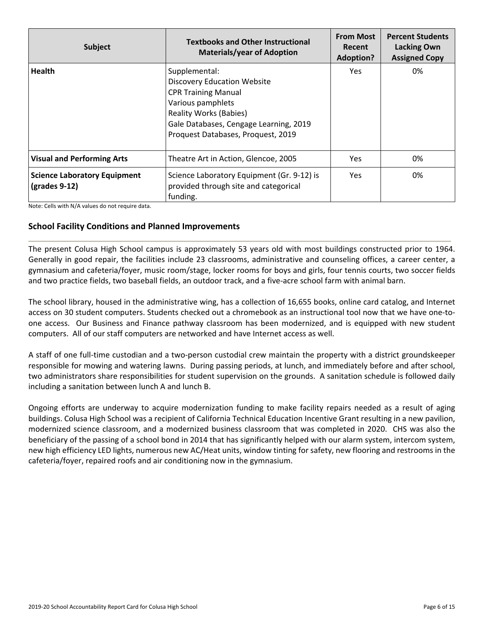| <b>Subject</b>                                         | <b>Textbooks and Other Instructional</b><br><b>Materials/year of Adoption</b>                                                                                                                                           | <b>From Most</b><br>Recent<br><b>Adoption?</b> | <b>Percent Students</b><br><b>Lacking Own</b><br><b>Assigned Copy</b> |
|--------------------------------------------------------|-------------------------------------------------------------------------------------------------------------------------------------------------------------------------------------------------------------------------|------------------------------------------------|-----------------------------------------------------------------------|
| <b>Health</b>                                          | Supplemental:<br><b>Discovery Education Website</b><br><b>CPR Training Manual</b><br>Various pamphlets<br><b>Reality Works (Babies)</b><br>Gale Databases, Cengage Learning, 2019<br>Proquest Databases, Proquest, 2019 | Yes.                                           | 0%                                                                    |
| <b>Visual and Performing Arts</b>                      | Theatre Art in Action, Glencoe, 2005                                                                                                                                                                                    | Yes.                                           | 0%                                                                    |
| <b>Science Laboratory Equipment</b><br>$(grades 9-12)$ | Science Laboratory Equipment (Gr. 9-12) is<br>provided through site and categorical<br>funding.                                                                                                                         | <b>Yes</b>                                     | 0%                                                                    |

#### **School Facility Conditions and Planned Improvements**

The present Colusa High School campus is approximately 53 years old with most buildings constructed prior to 1964. Generally in good repair, the facilities include 23 classrooms, administrative and counseling offices, a career center, a gymnasium and cafeteria/foyer, music room/stage, locker rooms for boys and girls, four tennis courts, two soccer fields and two practice fields, two baseball fields, an outdoor track, and a five-acre school farm with animal barn.

The school library, housed in the administrative wing, has a collection of 16,655 books, online card catalog, and Internet access on 30 student computers. Students checked out a chromebook as an instructional tool now that we have one-toone access. Our Business and Finance pathway classroom has been modernized, and is equipped with new student computers. All of our staff computers are networked and have Internet access as well.

A staff of one full-time custodian and a two-person custodial crew maintain the property with a district groundskeeper responsible for mowing and watering lawns. During passing periods, at lunch, and immediately before and after school, two administrators share responsibilities for student supervision on the grounds. A sanitation schedule is followed daily including a sanitation between lunch A and lunch B.

Ongoing efforts are underway to acquire modernization funding to make facility repairs needed as a result of aging buildings. Colusa High School was a recipient of California Technical Education Incentive Grant resulting in a new pavilion, modernized science classroom, and a modernized business classroom that was completed in 2020. CHS was also the beneficiary of the passing of a school bond in 2014 that has significantly helped with our alarm system, intercom system, new high efficiency LED lights, numerous new AC/Heat units, window tinting for safety, new flooring and restrooms in the cafeteria/foyer, repaired roofs and air conditioning now in the gymnasium.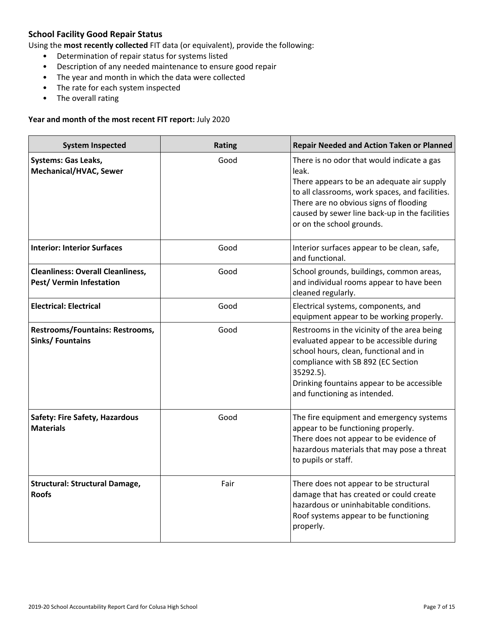### **School Facility Good Repair Status**

Using the **most recently collected** FIT data (or equivalent), provide the following:

- Determination of repair status for systems listed
- Description of any needed maintenance to ensure good repair
- The year and month in which the data were collected
- The rate for each system inspected
- The overall rating

#### **Year and month of the most recent FIT report:** July 2020

| <b>System Inspected</b>                                              | <b>Rating</b> | <b>Repair Needed and Action Taken or Planned</b>                                                                                                                                                                                                                              |
|----------------------------------------------------------------------|---------------|-------------------------------------------------------------------------------------------------------------------------------------------------------------------------------------------------------------------------------------------------------------------------------|
| <b>Systems: Gas Leaks,</b><br>Mechanical/HVAC, Sewer                 | Good          | There is no odor that would indicate a gas<br>leak.<br>There appears to be an adequate air supply<br>to all classrooms, work spaces, and facilities.<br>There are no obvious signs of flooding<br>caused by sewer line back-up in the facilities<br>or on the school grounds. |
| <b>Interior: Interior Surfaces</b>                                   | Good          | Interior surfaces appear to be clean, safe,<br>and functional.                                                                                                                                                                                                                |
| <b>Cleanliness: Overall Cleanliness,</b><br>Pest/ Vermin Infestation | Good          | School grounds, buildings, common areas,<br>and individual rooms appear to have been<br>cleaned regularly.                                                                                                                                                                    |
| <b>Electrical: Electrical</b>                                        | Good          | Electrical systems, components, and<br>equipment appear to be working properly.                                                                                                                                                                                               |
| <b>Restrooms/Fountains: Restrooms,</b><br><b>Sinks/ Fountains</b>    | Good          | Restrooms in the vicinity of the area being<br>evaluated appear to be accessible during<br>school hours, clean, functional and in<br>compliance with SB 892 (EC Section<br>35292.5).<br>Drinking fountains appear to be accessible<br>and functioning as intended.            |
| <b>Safety: Fire Safety, Hazardous</b><br><b>Materials</b>            | Good          | The fire equipment and emergency systems<br>appear to be functioning properly.<br>There does not appear to be evidence of<br>hazardous materials that may pose a threat<br>to pupils or staff.                                                                                |
| <b>Structural: Structural Damage,</b><br><b>Roofs</b>                | Fair          | There does not appear to be structural<br>damage that has created or could create<br>hazardous or uninhabitable conditions.<br>Roof systems appear to be functioning<br>properly.                                                                                             |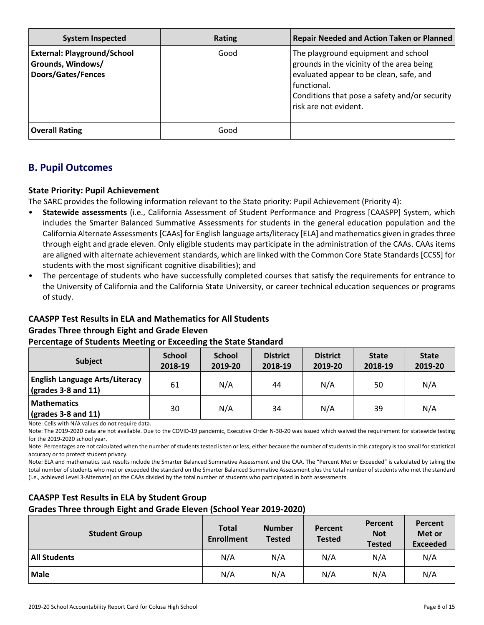| <b>System Inspected</b>                                                              | Rating | <b>Repair Needed and Action Taken or Planned</b>                                                                                                                                                                     |
|--------------------------------------------------------------------------------------|--------|----------------------------------------------------------------------------------------------------------------------------------------------------------------------------------------------------------------------|
| <b>External: Playground/School</b><br>Grounds, Windows/<br><b>Doors/Gates/Fences</b> | Good   | The playground equipment and school<br>grounds in the vicinity of the area being<br>evaluated appear to be clean, safe, and<br>functional.<br>Conditions that pose a safety and/or security<br>risk are not evident. |
| <b>Overall Rating</b>                                                                | Good   |                                                                                                                                                                                                                      |

# **B. Pupil Outcomes**

### **State Priority: Pupil Achievement**

The SARC provides the following information relevant to the State priority: Pupil Achievement (Priority 4):

- **Statewide assessments** (i.e., California Assessment of Student Performance and Progress [CAASPP] System, which includes the Smarter Balanced Summative Assessments for students in the general education population and the California Alternate Assessments [CAAs] for English language arts/literacy [ELA] and mathematics given in grades three through eight and grade eleven. Only eligible students may participate in the administration of the CAAs. CAAs items are aligned with alternate achievement standards, which are linked with the Common Core State Standards [CCSS] for students with the most significant cognitive disabilities); and
- The percentage of students who have successfully completed courses that satisfy the requirements for entrance to the University of California and the California State University, or career technical education sequences or programs of study.

# **CAASPP Test Results in ELA and Mathematics for All Students**

### **Grades Three through Eight and Grade Eleven**

### **Percentage of Students Meeting or Exceeding the State Standard**

| <b>Subject</b>                                                                              | <b>School</b><br>2018-19 | <b>School</b><br>2019-20 | <b>District</b><br>2018-19 | <b>District</b><br>2019-20 | <b>State</b><br>2018-19 | <b>State</b><br>2019-20 |
|---------------------------------------------------------------------------------------------|--------------------------|--------------------------|----------------------------|----------------------------|-------------------------|-------------------------|
| <b>English Language Arts/Literacy</b><br>$\left(\text{grades }3 - 8 \text{ and } 11\right)$ | 61                       | N/A                      | 44                         | N/A                        | 50                      | N/A                     |
| <b>Mathematics</b><br>$\frac{1}{2}$ (grades 3-8 and 11)                                     | 30                       | N/A                      | 34                         | N/A                        | 39                      | N/A                     |

Note: Cells with N/A values do not require data.

Note: The 2019-2020 data are not available. Due to the COVID-19 pandemic, Executive Order N-30-20 was issued which waived the requirement for statewide testing for the 2019-2020 school year.

Note: Percentages are not calculated when the number of students tested is ten or less, either because the number of students in this category is too small for statistical accuracy or to protect student privacy.

Note: ELA and mathematics test results include the Smarter Balanced Summative Assessment and the CAA. The "Percent Met or Exceeded" is calculated by taking the total number of students who met or exceeded the standard on the Smarter Balanced Summative Assessment plus the total number of students who met the standard (i.e., achieved Level 3-Alternate) on the CAAs divided by the total number of students who participated in both assessments.

# **CAASPP Test Results in ELA by Student Group**

### **Grades Three through Eight and Grade Eleven (School Year 2019-2020)**

| <b>Student Group</b> | <b>Total</b><br><b>Enrollment</b> | <b>Number</b><br><b>Tested</b> | <b>Percent</b><br><b>Tested</b> | Percent<br><b>Not</b><br><b>Tested</b> | Percent<br>Met or<br><b>Exceeded</b> |
|----------------------|-----------------------------------|--------------------------------|---------------------------------|----------------------------------------|--------------------------------------|
| <b>All Students</b>  | N/A                               | N/A                            | N/A                             | N/A                                    | N/A                                  |
| <b>Male</b>          | N/A                               | N/A                            | N/A                             | N/A                                    | N/A                                  |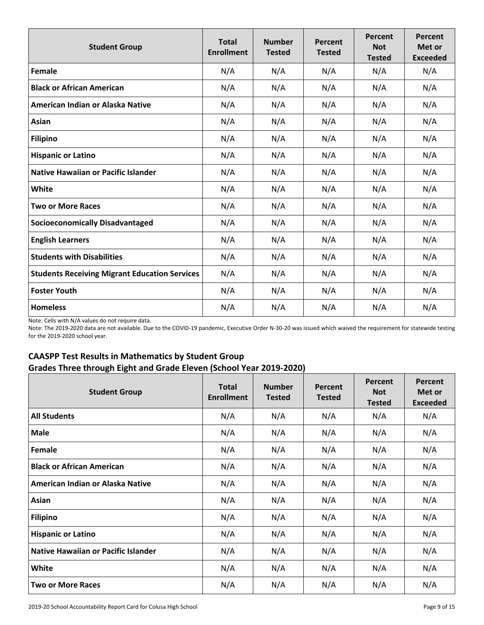| <b>Student Group</b>                                 | <b>Total</b><br><b>Enrollment</b> | <b>Number</b><br><b>Tested</b> | Percent<br><b>Tested</b> | Percent<br><b>Not</b><br><b>Tested</b> | Percent<br>Met or<br><b>Exceeded</b> |
|------------------------------------------------------|-----------------------------------|--------------------------------|--------------------------|----------------------------------------|--------------------------------------|
| Female                                               | N/A                               | N/A                            | N/A                      | N/A                                    | N/A                                  |
| <b>Black or African American</b>                     | N/A                               | N/A                            | N/A                      | N/A                                    | N/A                                  |
| American Indian or Alaska Native                     | N/A                               | N/A                            | N/A                      | N/A                                    | N/A                                  |
| Asian                                                | N/A                               | N/A                            | N/A                      | N/A                                    | N/A                                  |
| <b>Filipino</b>                                      | N/A                               | N/A                            | N/A                      | N/A                                    | N/A                                  |
| <b>Hispanic or Latino</b>                            | N/A                               | N/A                            | N/A                      | N/A                                    | N/A                                  |
| Native Hawaiian or Pacific Islander                  | N/A                               | N/A                            | N/A                      | N/A                                    | N/A                                  |
| White                                                | N/A                               | N/A                            | N/A                      | N/A                                    | N/A                                  |
| <b>Two or More Races</b>                             | N/A                               | N/A                            | N/A                      | N/A                                    | N/A                                  |
| <b>Socioeconomically Disadvantaged</b>               | N/A                               | N/A                            | N/A                      | N/A                                    | N/A                                  |
| <b>English Learners</b>                              | N/A                               | N/A                            | N/A                      | N/A                                    | N/A                                  |
| <b>Students with Disabilities</b>                    | N/A                               | N/A                            | N/A                      | N/A                                    | N/A                                  |
| <b>Students Receiving Migrant Education Services</b> | N/A                               | N/A                            | N/A                      | N/A                                    | N/A                                  |
| <b>Foster Youth</b>                                  | N/A                               | N/A                            | N/A                      | N/A                                    | N/A                                  |
| <b>Homeless</b>                                      | N/A                               | N/A                            | N/A                      | N/A                                    | N/A                                  |

Note: The 2019-2020 data are not available. Due to the COVID-19 pandemic, Executive Order N-30-20 was issued which waived the requirement for statewide testing for the 2019-2020 school year.

### **CAASPP Test Results in Mathematics by Student Group Grades Three through Eight and Grade Eleven (School Year 2019-2020)**

| <b>Student Group</b>                       | <b>Total</b><br><b>Enrollment</b> | <b>Number</b><br><b>Tested</b> | <b>Percent</b><br><b>Tested</b> | Percent<br><b>Not</b><br><b>Tested</b> | Percent<br>Met or<br><b>Exceeded</b> |
|--------------------------------------------|-----------------------------------|--------------------------------|---------------------------------|----------------------------------------|--------------------------------------|
| <b>All Students</b>                        | N/A                               | N/A                            | N/A                             | N/A                                    | N/A                                  |
| <b>Male</b>                                | N/A                               | N/A                            | N/A                             | N/A                                    | N/A                                  |
| Female                                     | N/A                               | N/A                            | N/A                             | N/A                                    | N/A                                  |
| <b>Black or African American</b>           | N/A                               | N/A                            | N/A                             | N/A                                    | N/A                                  |
| American Indian or Alaska Native           | N/A                               | N/A                            | N/A                             | N/A                                    | N/A                                  |
| Asian                                      | N/A                               | N/A                            | N/A                             | N/A                                    | N/A                                  |
| <b>Filipino</b>                            | N/A                               | N/A                            | N/A                             | N/A                                    | N/A                                  |
| <b>Hispanic or Latino</b>                  | N/A                               | N/A                            | N/A                             | N/A                                    | N/A                                  |
| <b>Native Hawaiian or Pacific Islander</b> | N/A                               | N/A                            | N/A                             | N/A                                    | N/A                                  |
| White                                      | N/A                               | N/A                            | N/A                             | N/A                                    | N/A                                  |
| <b>Two or More Races</b>                   | N/A                               | N/A                            | N/A                             | N/A                                    | N/A                                  |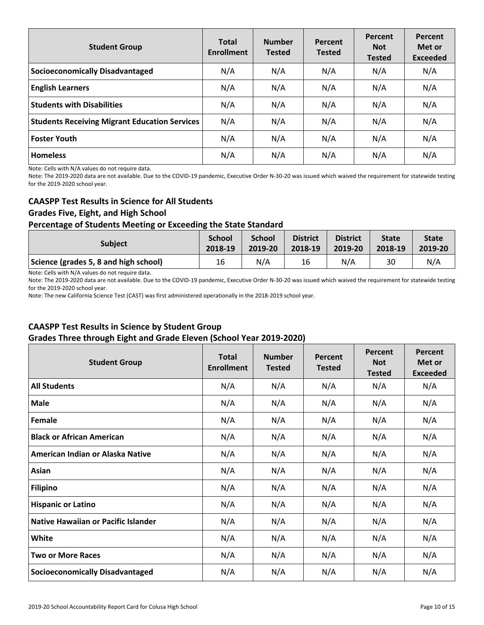| <b>Student Group</b>                                 | <b>Total</b><br><b>Enrollment</b> | <b>Number</b><br><b>Tested</b> | Percent<br><b>Tested</b> | Percent<br><b>Not</b><br><b>Tested</b> | Percent<br>Met or<br><b>Exceeded</b> |
|------------------------------------------------------|-----------------------------------|--------------------------------|--------------------------|----------------------------------------|--------------------------------------|
| <b>Socioeconomically Disadvantaged</b>               | N/A                               | N/A                            | N/A                      | N/A                                    | N/A                                  |
| <b>English Learners</b>                              | N/A                               | N/A                            | N/A                      | N/A                                    | N/A                                  |
| <b>Students with Disabilities</b>                    | N/A                               | N/A                            | N/A                      | N/A                                    | N/A                                  |
| <b>Students Receiving Migrant Education Services</b> | N/A                               | N/A                            | N/A                      | N/A                                    | N/A                                  |
| <b>Foster Youth</b>                                  | N/A                               | N/A                            | N/A                      | N/A                                    | N/A                                  |
| <b>Homeless</b>                                      | N/A                               | N/A                            | N/A                      | N/A                                    | N/A                                  |

Note: The 2019-2020 data are not available. Due to the COVID-19 pandemic, Executive Order N-30-20 was issued which waived the requirement for statewide testing for the 2019-2020 school year.

### **CAASPP Test Results in Science for All Students**

### **Grades Five, Eight, and High School**

### **Percentage of Students Meeting or Exceeding the State Standard**

| <b>Subject</b>                        | <b>School</b> | <b>School</b> | <b>District</b> | <b>District</b> | <b>State</b> | <b>State</b> |
|---------------------------------------|---------------|---------------|-----------------|-----------------|--------------|--------------|
|                                       | 2018-19       | 2019-20       | 2018-19         | 2019-20         | 2018-19      | 2019-20      |
| Science (grades 5, 8 and high school) | 16            | N/A           | 16              | N/A             | 30           | N/A          |

Note: Cells with N/A values do not require data.

Note: The 2019-2020 data are not available. Due to the COVID-19 pandemic, Executive Order N-30-20 was issued which waived the requirement for statewide testing for the 2019-2020 school year.

Note: The new California Science Test (CAST) was first administered operationally in the 2018-2019 school year.

### **CAASPP Test Results in Science by Student Group Grades Three through Eight and Grade Eleven (School Year 2019-2020)**

| <b>Student Group</b>                   | <b>Total</b><br><b>Enrollment</b> | <b>Number</b><br><b>Tested</b> | Percent<br><b>Tested</b> | Percent<br><b>Not</b><br><b>Tested</b> | Percent<br>Met or<br><b>Exceeded</b> |
|----------------------------------------|-----------------------------------|--------------------------------|--------------------------|----------------------------------------|--------------------------------------|
| <b>All Students</b>                    | N/A                               | N/A                            | N/A                      | N/A                                    | N/A                                  |
| <b>Male</b>                            | N/A                               | N/A                            | N/A                      | N/A                                    | N/A                                  |
| Female                                 | N/A                               | N/A                            | N/A                      | N/A                                    | N/A                                  |
| <b>Black or African American</b>       | N/A                               | N/A                            | N/A                      | N/A                                    | N/A                                  |
| American Indian or Alaska Native       | N/A                               | N/A                            | N/A                      | N/A                                    | N/A                                  |
| Asian                                  | N/A                               | N/A                            | N/A                      | N/A                                    | N/A                                  |
| <b>Filipino</b>                        | N/A                               | N/A                            | N/A                      | N/A                                    | N/A                                  |
| <b>Hispanic or Latino</b>              | N/A                               | N/A                            | N/A                      | N/A                                    | N/A                                  |
| Native Hawaiian or Pacific Islander    | N/A                               | N/A                            | N/A                      | N/A                                    | N/A                                  |
| White                                  | N/A                               | N/A                            | N/A                      | N/A                                    | N/A                                  |
| <b>Two or More Races</b>               | N/A                               | N/A                            | N/A                      | N/A                                    | N/A                                  |
| <b>Socioeconomically Disadvantaged</b> | N/A                               | N/A                            | N/A                      | N/A                                    | N/A                                  |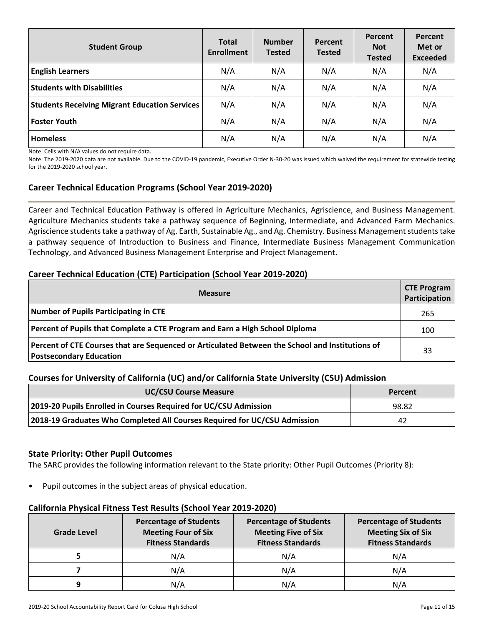| <b>Student Group</b>                                 | <b>Total</b><br><b>Enrollment</b> | <b>Number</b><br><b>Tested</b> | <b>Percent</b><br><b>Tested</b> | Percent<br><b>Not</b><br><b>Tested</b> | Percent<br>Met or<br><b>Exceeded</b> |
|------------------------------------------------------|-----------------------------------|--------------------------------|---------------------------------|----------------------------------------|--------------------------------------|
| <b>English Learners</b>                              | N/A                               | N/A                            | N/A                             | N/A                                    | N/A                                  |
| <b>Students with Disabilities</b>                    | N/A                               | N/A                            | N/A                             | N/A                                    | N/A                                  |
| <b>Students Receiving Migrant Education Services</b> | N/A                               | N/A                            | N/A                             | N/A                                    | N/A                                  |
| <b>Foster Youth</b>                                  | N/A                               | N/A                            | N/A                             | N/A                                    | N/A                                  |
| Homeless                                             | N/A                               | N/A                            | N/A                             | N/A                                    | N/A                                  |

Note: The 2019-2020 data are not available. Due to the COVID-19 pandemic, Executive Order N-30-20 was issued which waived the requirement for statewide testing for the 2019-2020 school year.

### **Career Technical Education Programs (School Year 2019-2020)**

Career and Technical Education Pathway is offered in Agriculture Mechanics, Agriscience, and Business Management. Agriculture Mechanics students take a pathway sequence of Beginning, Intermediate, and Advanced Farm Mechanics. Agriscience students take a pathway of Ag. Earth, Sustainable Ag., and Ag. Chemistry. Business Management students take a pathway sequence of Introduction to Business and Finance, Intermediate Business Management Communication Technology, and Advanced Business Management Enterprise and Project Management.

### **Career Technical Education (CTE) Participation (School Year 2019-2020)**

| <b>Measure</b>                                                                                                             | <b>CTE Program</b><br>Participation |
|----------------------------------------------------------------------------------------------------------------------------|-------------------------------------|
| Number of Pupils Participating in CTE                                                                                      | 265                                 |
| Percent of Pupils that Complete a CTE Program and Earn a High School Diploma                                               | 100                                 |
| Percent of CTE Courses that are Sequenced or Articulated Between the School and Institutions of<br>Postsecondary Education | 33                                  |

### **Courses for University of California (UC) and/or California State University (CSU) Admission**

| <b>UC/CSU Course Measure</b>                                              | Percent |
|---------------------------------------------------------------------------|---------|
| 2019-20 Pupils Enrolled in Courses Required for UC/CSU Admission          | 98.82   |
| 2018-19 Graduates Who Completed All Courses Required for UC/CSU Admission | 42      |

### **State Priority: Other Pupil Outcomes**

The SARC provides the following information relevant to the State priority: Other Pupil Outcomes (Priority 8):

Pupil outcomes in the subject areas of physical education.

### **California Physical Fitness Test Results (School Year 2019-2020)**

| <b>Grade Level</b> | <b>Percentage of Students</b><br><b>Meeting Four of Six</b><br><b>Fitness Standards</b> | <b>Percentage of Students</b><br><b>Meeting Five of Six</b><br><b>Fitness Standards</b> | <b>Percentage of Students</b><br><b>Meeting Six of Six</b><br><b>Fitness Standards</b> |  |  |
|--------------------|-----------------------------------------------------------------------------------------|-----------------------------------------------------------------------------------------|----------------------------------------------------------------------------------------|--|--|
|                    | N/A                                                                                     | N/A                                                                                     | N/A                                                                                    |  |  |
|                    | N/A                                                                                     | N/A                                                                                     | N/A                                                                                    |  |  |
| 9                  | N/A                                                                                     | N/A                                                                                     | N/A                                                                                    |  |  |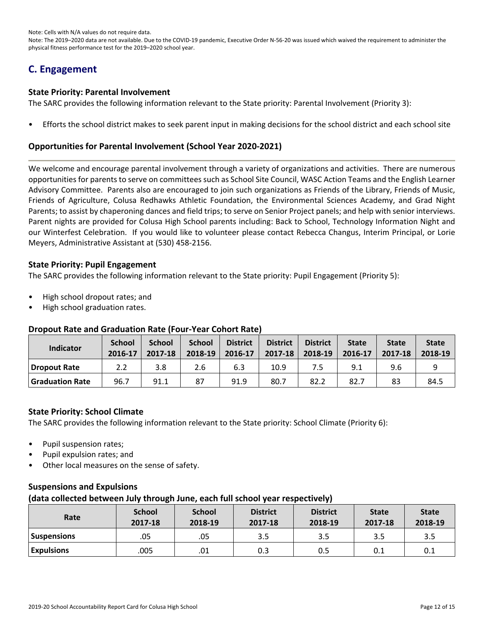Note: The 2019–2020 data are not available. Due to the COVID-19 pandemic, Executive Order N-56-20 was issued which waived the requirement to administer the physical fitness performance test for the 2019–2020 school year.

# **C. Engagement**

#### **State Priority: Parental Involvement**

The SARC provides the following information relevant to the State priority: Parental Involvement (Priority 3):

• Efforts the school district makes to seek parent input in making decisions for the school district and each school site

### **Opportunities for Parental Involvement (School Year 2020-2021)**

We welcome and encourage parental involvement through a variety of organizations and activities. There are numerous opportunities for parents to serve on committees such as School Site Council, WASC Action Teams and the English Learner Advisory Committee. Parents also are encouraged to join such organizations as Friends of the Library, Friends of Music, Friends of Agriculture, Colusa Redhawks Athletic Foundation, the Environmental Sciences Academy, and Grad Night Parents; to assist by chaperoning dances and field trips; to serve on Senior Project panels; and help with senior interviews. Parent nights are provided for Colusa High School parents including: Back to School, Technology Information Night and our Winterfest Celebration. If you would like to volunteer please contact Rebecca Changus, Interim Principal, or Lorie Meyers, Administrative Assistant at (530) 458-2156.

### **State Priority: Pupil Engagement**

The SARC provides the following information relevant to the State priority: Pupil Engagement (Priority 5):

- High school dropout rates; and
- High school graduation rates.

### **Dropout Rate and Graduation Rate (Four-Year Cohort Rate)**

| Indicator              | <b>School</b><br>2016-17 | <b>School</b><br>2017-18 | <b>School</b><br>2018-19 | <b>District</b><br>2016-17 | <b>District</b><br>2017-18 | <b>District</b><br>2018-19 | <b>State</b><br>2016-17 | <b>State</b><br>2017-18 | <b>State</b><br>$2018-19$ |
|------------------------|--------------------------|--------------------------|--------------------------|----------------------------|----------------------------|----------------------------|-------------------------|-------------------------|---------------------------|
| <b>Dropout Rate</b>    | 2.2                      | 3.8                      | 2.6                      | 6.3                        | 10.9                       |                            | 9.1                     | 9.6                     |                           |
| <b>Graduation Rate</b> | 96.7                     | 91.1                     | 87                       | 91.9                       | 80.7                       | 82.2                       | 82.7                    | 83                      | 84.5                      |

### **State Priority: School Climate**

The SARC provides the following information relevant to the State priority: School Climate (Priority 6):

- Pupil suspension rates;
- Pupil expulsion rates; and
- Other local measures on the sense of safety.

### **Suspensions and Expulsions**

#### **(data collected between July through June, each full school year respectively)**

| Rate               | <b>School</b><br>2017-18 | <b>School</b><br>2018-19 | <b>District</b><br>2017-18 | <b>District</b><br>2018-19 | <b>State</b><br>2017-18 | <b>State</b><br>2018-19 |
|--------------------|--------------------------|--------------------------|----------------------------|----------------------------|-------------------------|-------------------------|
| <b>Suspensions</b> | .05                      | .05                      | 3.5                        | 3.5                        | 3.5                     | 3.5                     |
| <b>Expulsions</b>  | .005                     | .01                      | 0.3                        | 0.5                        | 0.1                     | 0.1                     |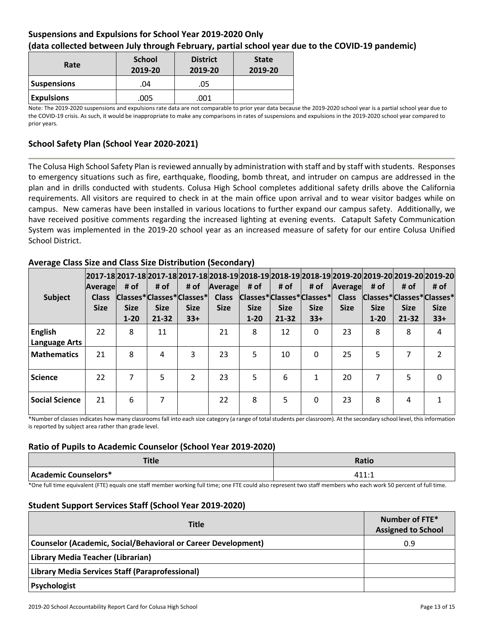### **Suspensions and Expulsions for School Year 2019-2020 Only (data collected between July through February, partial school year due to the COVID-19 pandemic)**

| Rate               | <b>School</b><br>2019-20 | <b>District</b><br>2019-20 | <b>State</b><br>2019-20 |
|--------------------|--------------------------|----------------------------|-------------------------|
| <b>Suspensions</b> | .04                      | .05                        |                         |
| <b>Expulsions</b>  | .005                     | .001                       |                         |

Note: The 2019-2020 suspensions and expulsions rate data are not comparable to prior year data because the 2019-2020 school year is a partial school year due to the COVID-19 crisis. As such, it would be inappropriate to make any comparisons in rates of suspensions and expulsions in the 2019-2020 school year compared to prior years.

### **School Safety Plan (School Year 2020-2021)**

The Colusa High School Safety Plan is reviewed annually by administration with staff and by staff with students. Responses to emergency situations such as fire, earthquake, flooding, bomb threat, and intruder on campus are addressed in the plan and in drills conducted with students. Colusa High School completes additional safety drills above the California requirements. All visitors are required to check in at the main office upon arrival and to wear visitor badges while on campus. New cameras have been installed in various locations to further expand our campus safety. Additionally, we have received positive comments regarding the increased lighting at evening events. Catapult Safety Communication System was implemented in the 2019-20 school year as an increased measure of safety for our entire Colusa Unified School District.

| Subject                                | 2017-18 2017-18 2017-18 2017-18 2018-19 2018-19 2018-19 2018-19 2019-20 2019-20 2019-20 2019-20 <br>Average<br><b>Class</b><br><b>Size</b> | # of<br><b>Size</b><br>$1 - 20$ | # of<br><b>Size</b><br>$21 - 32$ | # of<br>$ Classes* Classes* Classes* $<br><b>Size</b><br>$33+$ | Average<br><b>Class</b><br><b>Size</b> | # of<br><b>Size</b><br>$1 - 20$ | # of<br><b>Size</b><br>$21 - 32$ | # of<br> Classes* Classes* Classes* <br><b>Size</b><br>$33+$ | Average<br><b>Class</b><br><b>Size</b> | # of<br><b>Size</b><br>$1 - 20$ | # of<br>Classes*Classes*Classes*<br><b>Size</b><br>$21 - 32$ | # of<br><b>Size</b><br>$33+$ |
|----------------------------------------|--------------------------------------------------------------------------------------------------------------------------------------------|---------------------------------|----------------------------------|----------------------------------------------------------------|----------------------------------------|---------------------------------|----------------------------------|--------------------------------------------------------------|----------------------------------------|---------------------------------|--------------------------------------------------------------|------------------------------|
| <b>English</b><br><b>Language Arts</b> | 22                                                                                                                                         | 8                               | 11                               |                                                                | 21                                     | 8                               | 12                               | 0                                                            | 23                                     | 8                               | 8                                                            | 4                            |
| <b>Mathematics</b>                     | 21                                                                                                                                         | 8                               | 4                                | 3                                                              | 23                                     | 5                               | 10                               | $\Omega$                                                     | 25                                     | 5                               | 7                                                            | $\mathcal{P}$                |
| <b>Science</b>                         | 22                                                                                                                                         | 7                               | 5                                | $\mathfrak{p}$                                                 | 23                                     | 5                               | 6                                | 1                                                            | 20                                     | 7                               | 5                                                            | $\Omega$                     |
| <b>Social Science</b>                  | 21                                                                                                                                         | 6                               | 7                                |                                                                | 22                                     | 8                               | 5.                               | $\Omega$                                                     | 23                                     | 8                               | 4                                                            |                              |

### **Average Class Size and Class Size Distribution (Secondary)**

\*Number of classes indicates how many classrooms fall into each size category (a range of total students per classroom). At the secondary school level, this information is reported by subject area rather than grade level.

### **Ratio of Pupils to Academic Counselor (School Year 2019-2020)**

| <b>Title</b>         | <b>Ratio</b>                   |
|----------------------|--------------------------------|
| Academic Counselors* | $\cdot$ 1 $\cdot$ $\cdot$<br>. |

\*One full time equivalent (FTE) equals one staff member working full time; one FTE could also represent two staff members who each work 50 percent of full time.

### **Student Support Services Staff (School Year 2019-2020)**

| <b>Title</b>                                                  | Number of FTE*<br><b>Assigned to School</b> |
|---------------------------------------------------------------|---------------------------------------------|
| Counselor (Academic, Social/Behavioral or Career Development) | 0.9                                         |
| Library Media Teacher (Librarian)                             |                                             |
| Library Media Services Staff (Paraprofessional)               |                                             |
| Psychologist                                                  |                                             |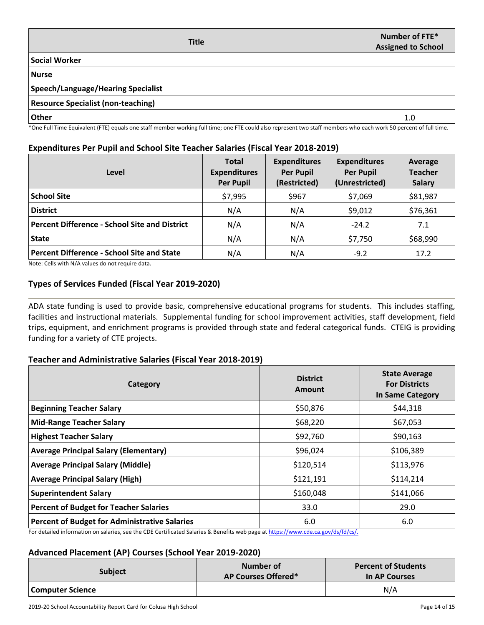| <b>Title</b>                              | Number of FTE*<br><b>Assigned to School</b> |
|-------------------------------------------|---------------------------------------------|
| <b>Social Worker</b>                      |                                             |
| <b>Nurse</b>                              |                                             |
| <b>Speech/Language/Hearing Specialist</b> |                                             |
| <b>Resource Specialist (non-teaching)</b> |                                             |
| <b>Other</b>                              | 1.0                                         |

\*One Full Time Equivalent (FTE) equals one staff member working full time; one FTE could also represent two staff members who each work 50 percent of full time.

### **Expenditures Per Pupil and School Site Teacher Salaries (Fiscal Year 2018-2019)**

| Level                                                | <b>Total</b><br><b>Expenditures</b><br><b>Per Pupil</b> | <b>Expenditures</b><br><b>Per Pupil</b><br>(Restricted) | <b>Expenditures</b><br><b>Per Pupil</b><br>(Unrestricted) | Average<br><b>Teacher</b><br><b>Salary</b> |
|------------------------------------------------------|---------------------------------------------------------|---------------------------------------------------------|-----------------------------------------------------------|--------------------------------------------|
| <b>School Site</b>                                   | \$7,995                                                 | \$967                                                   | \$7,069                                                   | \$81,987                                   |
| <b>District</b>                                      | N/A                                                     | N/A                                                     | \$9,012                                                   | \$76,361                                   |
| <b>Percent Difference - School Site and District</b> | N/A                                                     | N/A                                                     | $-24.2$                                                   | 7.1                                        |
| <b>State</b>                                         | N/A                                                     | N/A                                                     | \$7,750                                                   | \$68,990                                   |
| <b>Percent Difference - School Site and State</b>    | N/A                                                     | N/A                                                     | $-9.2$                                                    | 17.2                                       |

Note: Cells with N/A values do not require data.

### **Types of Services Funded (Fiscal Year 2019-2020)**

ADA state funding is used to provide basic, comprehensive educational programs for students. This includes staffing, facilities and instructional materials. Supplemental funding for school improvement activities, staff development, field trips, equipment, and enrichment programs is provided through state and federal categorical funds. CTEIG is providing funding for a variety of CTE projects.

### **Teacher and Administrative Salaries (Fiscal Year 2018-2019)**

| Category                                             | <b>District</b><br>Amount | <b>State Average</b><br><b>For Districts</b><br><b>In Same Category</b> |  |  |
|------------------------------------------------------|---------------------------|-------------------------------------------------------------------------|--|--|
| <b>Beginning Teacher Salary</b>                      | \$50,876                  | \$44,318                                                                |  |  |
| <b>Mid-Range Teacher Salary</b>                      | \$68,220                  | \$67,053                                                                |  |  |
| <b>Highest Teacher Salary</b>                        | \$92,760                  | \$90,163                                                                |  |  |
| <b>Average Principal Salary (Elementary)</b>         | \$96,024                  | \$106,389                                                               |  |  |
| <b>Average Principal Salary (Middle)</b>             | \$120,514                 | \$113,976                                                               |  |  |
| <b>Average Principal Salary (High)</b>               | \$121,191                 | \$114,214                                                               |  |  |
| <b>Superintendent Salary</b>                         | \$160,048                 | \$141,066                                                               |  |  |
| <b>Percent of Budget for Teacher Salaries</b>        | 33.0                      | 29.0                                                                    |  |  |
| <b>Percent of Budget for Administrative Salaries</b> | 6.0                       | 6.0                                                                     |  |  |

For detailed information on salaries, see the CDE Certificated Salaries & Benefits web page at [https://www.cde.ca.gov/ds/fd/cs/.](https://www.cde.ca.gov/ds/fd/cs/)

### **Advanced Placement (AP) Courses (School Year 2019-2020)**

| <b>Subject</b>   | Number of<br>AP Courses Offered* | <b>Percent of Students</b><br>In AP Courses |  |  |
|------------------|----------------------------------|---------------------------------------------|--|--|
| Computer Science |                                  | N/A                                         |  |  |